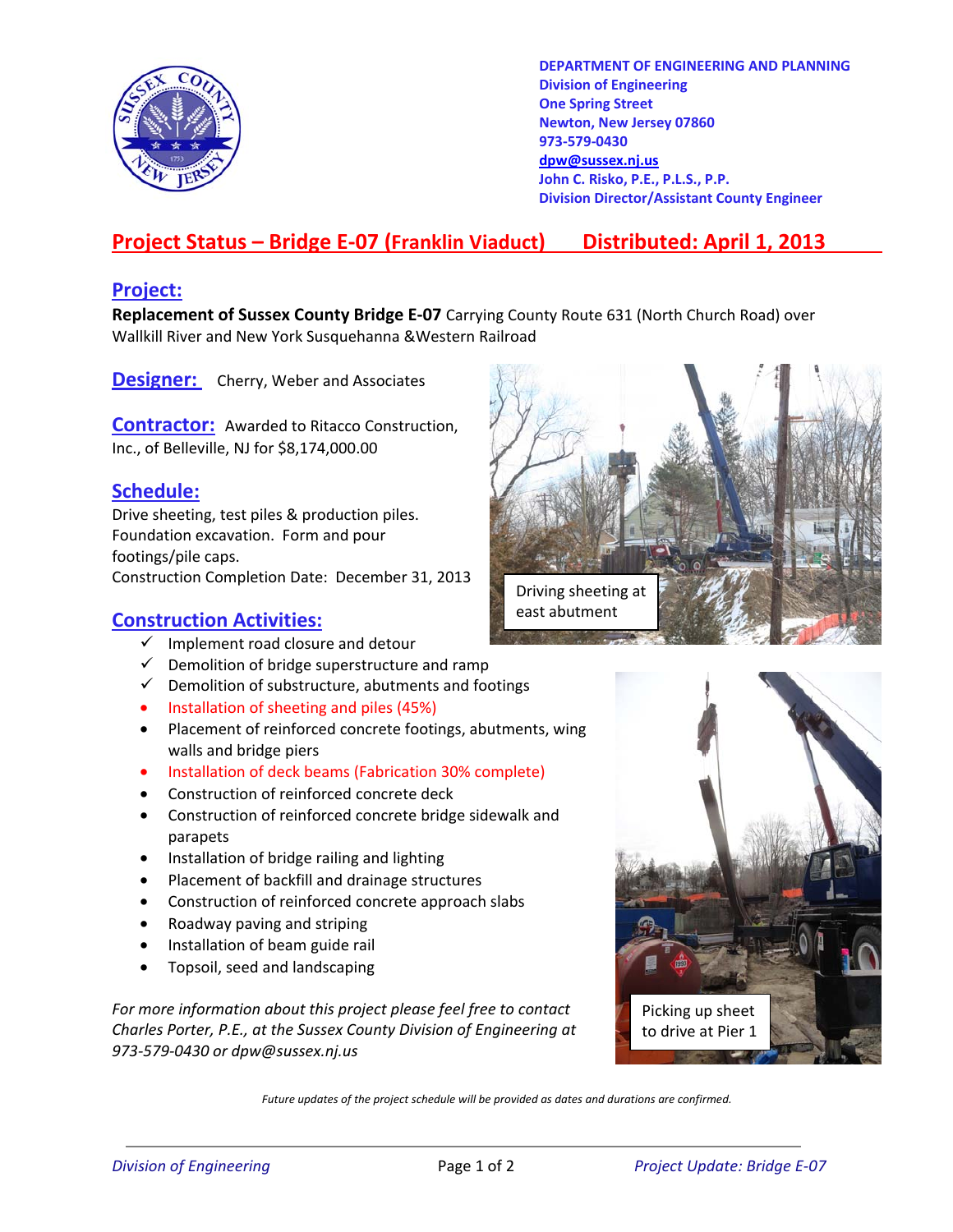

**DEPARTMENT OF ENGINEERING AND PLANNING Division of Engineering One Spring Street Newton, New Jersey 07860 973-579-0430 dpw@sussex.nj.us John C. Risko, P.E., P.L.S., P.P. Division Director/Assistant County Engineer** 

# **Project Status – Bridge E-07 (Franklin Viaduct) Distributed: April 1, 2013**

#### **Project:**

**Replacement of Sussex County Bridge E-07** Carrying County Route 631 (North Church Road) over Wallkill River and New York Susquehanna &Western Railroad

**Designer:** Cherry, Weber and Associates

**Contractor:** Awarded to Ritacco Construction, Inc., of Belleville, NJ for \$8,174,000.00

### **Schedule:**

Drive sheeting, test piles & production piles. Foundation excavation. Form and pour footings/pile caps. Construction Completion Date: December 31, 2013

#### **Construction Activities:**

- $\checkmark$  Implement road closure and detour
- $\checkmark$  Demolition of bridge superstructure and ramp
- $\checkmark$  Demolition of substructure, abutments and footings
- Installation of sheeting and piles (45%)
- Placement of reinforced concrete footings, abutments, wing walls and bridge piers
- Installation of deck beams (Fabrication 30% complete)
- Construction of reinforced concrete deck
- Construction of reinforced concrete bridge sidewalk and parapets
- Installation of bridge railing and lighting
- Placement of backfill and drainage structures
- Construction of reinforced concrete approach slabs
- Roadway paving and striping
- Installation of beam guide rail
- Topsoil, seed and landscaping

*For more information about this project please feel free to contact Charles Porter, P.E., at the Sussex County Division of Engineering at 973-579-0430 or dpw@sussex.nj.us* 





*Future updates of the project schedule will be provided as dates and durations are confirmed.*